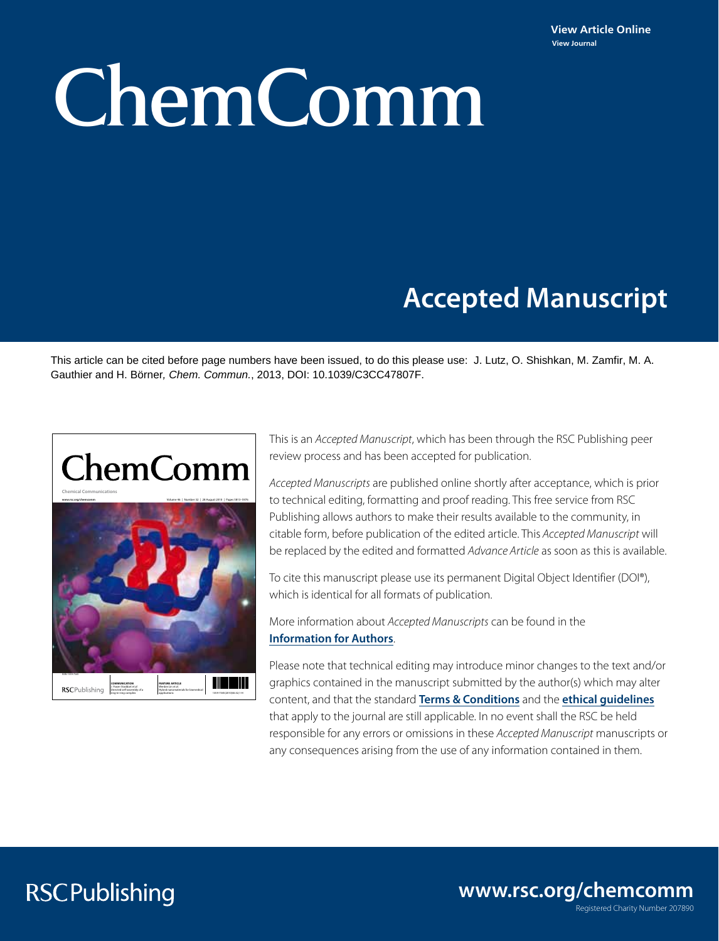# ChemComm

# **Accepted Manuscript**

This article can be cited before page numbers have been issued, to do this please use: J. Lutz, O. Shishkan, M. Zamfir, M. A. Gauthier and H. Börner*, Chem. Commun.*, 2013, DOI: 10.1039/C3CC47807F.



This is an *Accepted Manuscript*, which has been through the RSC Publishing peer review process and has been accepted for publication.

*Accepted Manuscripts* are published online shortly after acceptance, which is prior to technical editing, formatting and proof reading. This free service from RSC Publishing allows authors to make their results available to the community, in citable form, before publication of the edited article. This *Accepted Manuscript* will be replaced by the edited and formatted *Advance Article* as soon as this is available.

To cite this manuscript please use its permanent Digital Object Identifier (DOI®), which is identical for all formats of publication.

More information about *Accepted Manuscripts* can be found in the **[Information for Authors](http://www.rsc.org/Publishing/Journals/guidelines/AuthorGuidelines/JournalPolicy/accepted_manuscripts.asp)**.

Please note that technical editing may introduce minor changes to the text and/or graphics contained in the manuscript submitted by the author(s) which may alter content, and that the standard **[Terms & Conditions](http://www.rsc.org/help/termsconditions.asp)** and the **[ethical guidelines](http://www.rsc.org/publishing/journals/guidelines/)** that apply to the journal are still applicable. In no event shall the RSC be held responsible for any errors or omissions in these *Accepted Manuscript* manuscripts or any consequences arising from the use of any information contained in them.

## **RSCPublishing**

Registered Charity Number 207890 **www.rsc.org/chemcomm**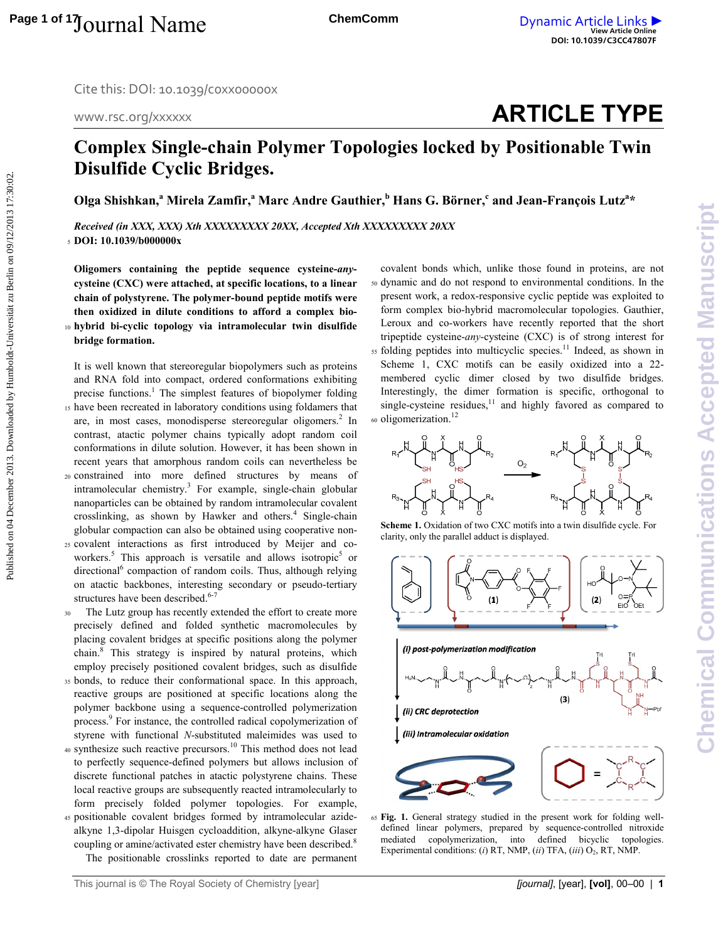www.rsc.org/xxxxxx

# **ARTICLE TYPE**

## **Complex Single-chain Polymer Topologies locked by Positionable Twin Disulfide Cyclic Bridges.**

**Olga Shishkan,<sup>a</sup> Mirela Zamfir,<sup>a</sup> Marc Andre Gauthier,<sup>b</sup> Hans G. Börner,<sup>c</sup> and Jean-François Lutz<sup>a</sup> \*** 

*Received (in XXX, XXX) Xth XXXXXXXXX 20XX, Accepted Xth XXXXXXXXX 20XX*  <sup>5</sup>**DOI: 10.1039/b000000x** 

**Oligomers containing the peptide sequence cysteine-***any***cysteine (CXC) were attached, at specific locations, to a linear chain of polystyrene. The polymer-bound peptide motifs were then oxidized in dilute conditions to afford a complex bio-**<sup>10</sup>**hybrid bi-cyclic topology via intramolecular twin disulfide bridge formation.**

It is well known that stereoregular biopolymers such as proteins and RNA fold into compact, ordered conformations exhibiting precise functions.<sup>1</sup> The simplest features of biopolymer folding <sup>15</sup>have been recreated in laboratory conditions using foldamers that are, in most cases, monodisperse stereoregular oligomers.<sup>2</sup> In contrast, atactic polymer chains typically adopt random coil conformations in dilute solution. However, it has been shown in recent years that amorphous random coils can nevertheless be <sup>20</sup>constrained into more defined structures by means of intramolecular chemistry.<sup>3</sup> For example, single-chain globular nanoparticles can be obtained by random intramolecular covalent crosslinking, as shown by Hawker and others.<sup>4</sup> Single-chain globular compaction can also be obtained using cooperative non-Published on 04 December 2013. Downloaded by Humboldt-Universität zu Berlin on 09/12/2013 17:30:02. **[View Article Online](http://dx.doi.org/10.1039/c3cc47807f) DOI: 10.1039/C3CC47807F**

- 25 covalent interactions as first introduced by Meijer and coworkers.<sup>5</sup> This approach is versatile and allows isotropic<sup>5</sup> or directional<sup>6</sup> compaction of random coils. Thus, although relying on atactic backbones, interesting secondary or pseudo-tertiary structures have been described.<sup>6-7</sup>
- 30 The Lutz group has recently extended the effort to create more precisely defined and folded synthetic macromolecules by placing covalent bridges at specific positions along the polymer chain.<sup>8</sup> This strategy is inspired by natural proteins, which employ precisely positioned covalent bridges, such as disulfide
- 35 bonds, to reduce their conformational space. In this approach, reactive groups are positioned at specific locations along the polymer backbone using a sequence-controlled polymerization process.<sup>9</sup> For instance, the controlled radical copolymerization of styrene with functional *N*-substituted maleimides was used to
- $40$  synthesize such reactive precursors.<sup>10</sup> This method does not lead to perfectly sequence-defined polymers but allows inclusion of discrete functional patches in atactic polystyrene chains. These local reactive groups are subsequently reacted intramolecularly to form precisely folded polymer topologies. For example,
- 45 positionable covalent bridges formed by intramolecular azidealkyne 1,3-dipolar Huisgen cycloaddition, alkyne-alkyne Glaser coupling or amine/activated ester chemistry have been described.<sup>8</sup>

The positionable crosslinks reported to date are permanent

- covalent bonds which, unlike those found in proteins, are not <sup>50</sup>dynamic and do not respond to environmental conditions. In the present work, a redox-responsive cyclic peptide was exploited to form complex bio-hybrid macromolecular topologies. Gauthier, Leroux and co-workers have recently reported that the short tripeptide cysteine-*any*-cysteine (CXC) is of strong interest for
- $55$  folding peptides into multicyclic species.<sup>11</sup> Indeed, as shown in Scheme 1, CXC motifs can be easily oxidized into a 22 membered cyclic dimer closed by two disulfide bridges. Interestingly, the dimer formation is specific, orthogonal to single-cysteine residues, $11$  and highly favored as compared to 60 oligomerization.<sup>12</sup>



**Scheme 1.** Oxidation of two CXC motifs into a twin disulfide cycle. For clarity, only the parallel adduct is displayed.



65 **Fig. 1.** General strategy studied in the present work for folding welldefined linear polymers, prepared by sequence-controlled nitroxide mediated copolymerization, into defined bicyclic topologies. Experimental conditions: (*i*) RT, NMP, (*ii*) TFA, (*iii*) O<sub>2</sub>, RT, NMP.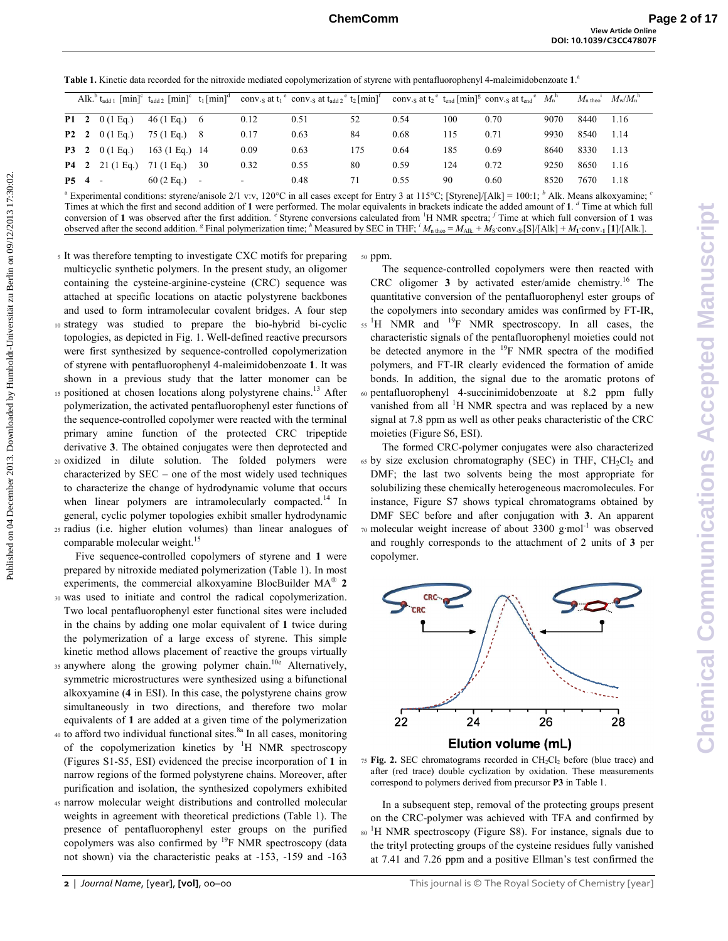| Table 1. Kinetic data recorded for the nitroxide mediated copolymerization of styrene with pentafluorophenyl 4-maleimidobenzoate 1. <sup>a</sup> |
|--------------------------------------------------------------------------------------------------------------------------------------------------|
|--------------------------------------------------------------------------------------------------------------------------------------------------|

|                    |                       |                             |        |      | Alk. $t_{\text{add }1}$ $\lceil \text{min} \rceil^c$ $t_{\text{add }2}$ $\lceil \text{min} \rceil^c$ $t_1 \lceil \text{min} \rceil^d$ conv.g at $t_1$ conv.g at $t_{\text{add }2}$ $\lceil \text{min} \rceil^t$ conv.g at $t_2$ $\lceil \text{min} \rceil^t$ conv.g at $t_2$ $\lceil \text{min} \rceil^g$ conv.g at $t_{\text{end}}$ $\l$ |     |      |     |      |      | $M_{\rm n\,theo}$ <sup>1</sup> | $M_{\rm w}/M_{\rm n}^{\rm n}$ |
|--------------------|-----------------------|-----------------------------|--------|------|-------------------------------------------------------------------------------------------------------------------------------------------------------------------------------------------------------------------------------------------------------------------------------------------------------------------------------------------|-----|------|-----|------|------|--------------------------------|-------------------------------|
|                    | <b>P1</b> 2 0 (1 Eq.) | $46(1 \text{ Eq.}) \quad 6$ |        | 0.12 | 0.51                                                                                                                                                                                                                                                                                                                                      | 52  | 0.54 | 100 | 0.70 | 9070 | 8440                           | 1.16                          |
|                    | <b>P2</b> 2 0 (1 Eq.) | 75 (1 Eq.) 8                |        | 0.17 | 0.63                                                                                                                                                                                                                                                                                                                                      | 84  | 0.68 | 115 | 0.71 | 9930 | 8540                           | 1.14                          |
|                    | <b>P3</b> 2 0 (1 Eq.) | $163(1 \text{ Eq.})$ 14     |        | 0.09 | 0.63                                                                                                                                                                                                                                                                                                                                      | 175 | 0.64 | 185 | 0.69 | 8640 | 8330                           | 1.13                          |
|                    | $P4 \t2 \t21 (1 Eq.)$ | 71 (1 Eg.)                  | -30    | 0.32 | 0.55                                                                                                                                                                                                                                                                                                                                      | 80  | 0.59 | 124 | 0.72 | 9250 | 8650                           | 1.16                          |
| P <sub>5</sub> 4 - |                       | $60(2)$ Eq.)                | $\sim$ |      | 0.48                                                                                                                                                                                                                                                                                                                                      | 71  | 0.55 | 90  | 0.60 | 8520 | 7670                           | 1.18                          |

<sup>a</sup> Experimental conditions: styrene/anisole 2/1 v:v, 120°C in all cases except for Entry 3 at 115°C; [Styrene]/[Alk] = 100:1; <sup>*b*</sup> Alk. Means alkoxyamine; <sup>*c*</sup> Times at which the first and second addition of **1** were performed. The molar equivalents in brackets indicate the added amount of **1**. *<sup>d</sup>* Time at which full conversion of 1 was observed after the first addition.  $e$  Styrene conversions calculated from  $H$  NMR spectra;  $f$  Time at which full conversion of 1 was observed after the second addition. <sup>*s*</sup> Final polymerization time; <sup>*h*</sup> Measured by SEC in THF; <sup>*i*</sup> M<sub>n theo</sub> =  $M_{A1k}$  +  $M_S$  conv. <sub>S</sub>[S]/[Alk] +  $M_1$  conv. 1 [1]/[Alk.].

<sup>5</sup>It was therefore tempting to investigate CXC motifs for preparing multicyclic synthetic polymers. In the present study, an oligomer containing the cysteine-arginine-cysteine (CRC) sequence was attached at specific locations on atactic polystyrene backbones and used to form intramolecular covalent bridges. A four step <sup>10</sup>strategy was studied to prepare the bio-hybrid bi-cyclic topologies, as depicted in Fig. 1. Well-defined reactive precursors were first synthesized by sequence-controlled copolymerization of styrene with pentafluorophenyl 4-maleimidobenzoate **1**. It was shown in a previous study that the latter monomer can be 15 positioned at chosen locations along polystyrene chains.<sup>13</sup> After polymerization, the activated pentafluorophenyl ester functions of the sequence-controlled copolymer were reacted with the terminal primary amine function of the protected CRC tripeptide derivative **3**. The obtained conjugates were then deprotected and <sup>20</sup>oxidized in dilute solution. The folded polymers were characterized by SEC – one of the most widely used techniques to characterize the change of hydrodynamic volume that occurs when linear polymers are intramolecularly compacted.<sup>14</sup> In general, cyclic polymer topologies exhibit smaller hydrodynamic <sup>25</sup>radius (i.e. higher elution volumes) than linear analogues of comparable molecular weight.<sup>15</sup> **Table 1.** Kinnis dua recented for the interdependent and interest via hystem via hystem (and interdependent and interdependent interdependent interdependent interdependent interdependent interdependent interdependent int

 Five sequence-controlled copolymers of styrene and **1** were prepared by nitroxide mediated polymerization (Table 1). In most experiments, the commercial alkoxyamine BlocBuilder MA® **2** <sup>30</sup>was used to initiate and control the radical copolymerization. Two local pentafluorophenyl ester functional sites were included in the chains by adding one molar equivalent of **1** twice during the polymerization of a large excess of styrene. This simple kinetic method allows placement of reactive the groups virtually

- 35 anywhere along the growing polymer chain.<sup>10e</sup> Alternatively, symmetric microstructures were synthesized using a bifunctional alkoxyamine (**4** in ESI). In this case, the polystyrene chains grow simultaneously in two directions, and therefore two molar equivalents of **1** are added at a given time of the polymerization
- 40 to afford two individual functional sites.<sup>8a</sup> In all cases, monitoring of the copolymerization kinetics by  $H$  NMR spectroscopy (Figures S1-S5, ESI) evidenced the precise incorporation of **1** in narrow regions of the formed polystyrene chains. Moreover, after purification and isolation, the synthesized copolymers exhibited
- <sup>45</sup>narrow molecular weight distributions and controlled molecular weights in agreement with theoretical predictions (Table 1). The presence of pentafluorophenyl ester groups on the purified copolymers was also confirmed by  $^{19}$ F NMR spectroscopy (data not shown) via the characteristic peaks at -153, -159 and -163

50 ppm.

 The sequence-controlled copolymers were then reacted with CRC oligomer **3** by activated ester/amide chemistry.<sup>16</sup> The quantitative conversion of the pentafluorophenyl ester groups of the copolymers into secondary amides was confirmed by FT-IR,  $15<sup>1</sup>H$  NMR and  $1<sup>9</sup>F$  NMR spectroscopy. In all cases, the characteristic signals of the pentafluorophenyl moieties could not be detected anymore in the <sup>19</sup>F NMR spectra of the modified polymers, and FT-IR clearly evidenced the formation of amide bonds. In addition, the signal due to the aromatic protons of  $60$  pentafluorophenyl 4-succinimidobenzoate at 8.2 ppm fully vanished from all  ${}^{1}$ H NMR spectra and was replaced by a new signal at 7.8 ppm as well as other peaks characteristic of the CRC moieties (Figure S6, ESI).

 The formed CRC-polymer conjugates were also characterized  $65$  by size exclusion chromatography (SEC) in THF,  $CH_2Cl_2$  and DMF; the last two solvents being the most appropriate for solubilizing these chemically heterogeneous macromolecules. For instance, Figure S7 shows typical chromatograms obtained by DMF SEC before and after conjugation with **3**. An apparent  $\pi$ <sup>0</sup> molecular weight increase of about 3300 g·mol<sup>-1</sup> was observed and roughly corresponds to the attachment of 2 units of **3** per copolymer.



<sup>75</sup>**Fig. 2.** SEC chromatograms recorded in CH2Cl2 before (blue trace) and after (red trace) double cyclization by oxidation. These measurements correspond to polymers derived from precursor **P3** in Table 1.

 In a subsequent step, removal of the protecting groups present on the CRC-polymer was achieved with TFA and confirmed by <sup>80</sup> <sup>1</sup>H NMR spectroscopy (Figure S8). For instance, signals due to the trityl protecting groups of the cysteine residues fully vanished at 7.41 and 7.26 ppm and a positive Ellman's test confirmed the

**Chemical Communications Accepted Manuscript**

Chemical

**Communications Accepted Manuscript**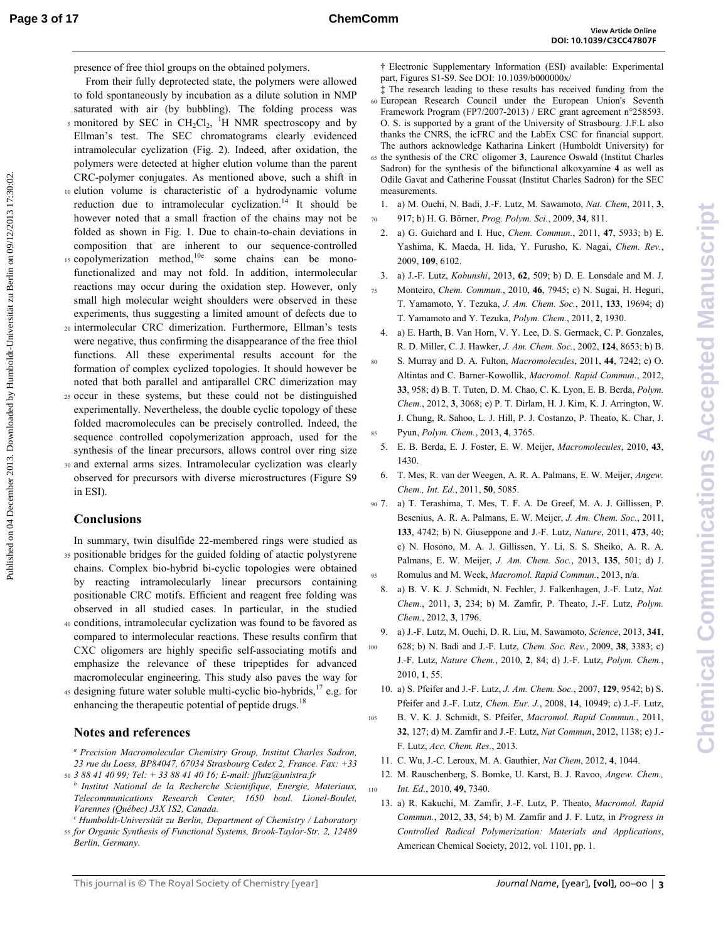- From their fully deprotected state, the polymers were allowed to fold spontaneously by incubation as a dilute solution in NMP saturated with air (by bubbling). The folding process was s monitored by SEC in  $CH_2Cl_2$ , <sup>1</sup>H NMR spectroscopy and by Ellman's test. The SEC chromatograms clearly evidenced intramolecular cyclization (Fig. 2). Indeed, after oxidation, the polymers were detected at higher elution volume than the parent CRC-polymer conjugates. As mentioned above, such a shift in 10 elution volume is characteristic of a hydrodynamic volume reduction due to intramolecular cyclization.<sup>14</sup> It should be however noted that a small fraction of the chains may not be folded as shown in Fig. 1. Due to chain-to-chain deviations in composition that are inherent to our sequence-controlled  $15$  copolymerization method,  $10e$ some chains can be monofunctionalized and may not fold. In addition, intermolecular reactions may occur during the oxidation step. However, only small high molecular weight shoulders were observed in these experiments, thus suggesting a limited amount of defects due to **Puesence of five their gaoups on the otherine playments.** Proximing Separation (Figure 2013) and a positive separation of  $\frac{1}{2}$  and a positive separation of  $\frac{1}{2}$  and a positive separation of  $\frac{1}{2}$  and  $\frac{1}{$ 
	- <sup>20</sup>intermolecular CRC dimerization. Furthermore, Ellman's tests were negative, thus confirming the disappearance of the free thiol functions. All these experimental results account for the formation of complex cyclized topologies. It should however be noted that both parallel and antiparallel CRC dimerization may
	- <sup>25</sup>occur in these systems, but these could not be distinguished experimentally. Nevertheless, the double cyclic topology of these folded macromolecules can be precisely controlled. Indeed, the sequence controlled copolymerization approach, used for the synthesis of the linear precursors, allows control over ring size
	- <sup>30</sup>and external arms sizes. Intramolecular cyclization was clearly observed for precursors with diverse microstructures (Figure S9 in ESI).

## **Conclusions**

- In summary, twin disulfide 22-membered rings were studied as 35 positionable bridges for the guided folding of atactic polystyrene chains. Complex bio-hybrid bi-cyclic topologies were obtained by reacting intramolecularly linear precursors containing positionable CRC motifs. Efficient and reagent free folding was observed in all studied cases. In particular, in the studied <sup>40</sup>conditions, intramolecular cyclization was found to be favored as compared to intermolecular reactions. These results confirm that CXC oligomers are highly specific self-associating motifs and emphasize the relevance of these tripeptides for advanced
- macromolecular engineering. This study also paves the way for 45 designing future water soluble multi-cyclic bio-hybrids,  $17$  e.g. for enhancing the therapeutic potential of peptide drugs. $18$

## **Notes and references**

- *<sup>a</sup>Precision Macromolecular Chemistry Group, Institut Charles Sadron, 23 rue du Loess, BP84047, 67034 Strasbourg Cedex 2, France. Fax: +33*  <sup>50</sup>*3 88 41 40 99; Tel: + 33 88 41 40 16; E-mail: jflutz@unistra.fr*
- *<sup>b</sup>Institut National de la Recherche Scientifique, Energie, Materiaux, Telecommunications Research Center, 1650 boul. Lionel-Boulet, Varennes (Québec) J3X 1S2, Canada.*
- *<sup>c</sup>Humboldt-Universität zu Berlin, Department of Chemistry / Laboratory*  <sup>55</sup>*for Organic Synthesis of Functional Systems, Brook-Taylor-Str. 2, 12489 Berlin, Germany.*

† Electronic Supplementary Information (ESI) available: Experimental part, Figures S1-S9. See DOI: 10.1039/b000000x/

- The research leading to these results has received funding from the <sup>60</sup>European Research Council under the European Union's Seventh Framework Program (FP7/2007-2013) / ERC grant agreement n°258593. O. S. is supported by a grant of the University of Strasbourg. J.F.L also thanks the CNRS, the icFRC and the LabEx CSC for financial support. The authors acknowledge Katharina Linkert (Humboldt University) for <sup>65</sup>the synthesis of the CRC oligomer **3**, Laurence Oswald (Institut Charles Sadron) for the synthesis of the bifunctional alkoxyamine **4** as well as Odile Gavat and Catherine Foussat (Institut Charles Sadron) for the SEC measurements.
- 1. a) M. Ouchi, N. Badi, J.-F. Lutz, M. Sawamoto, *Nat. Chem*, 2011, **3**, <sup>70</sup>917; b) H. G. Börner, *Prog. Polym. Sci.*, 2009, **34**, 811.
- 2. a) G. Guichard and I. Huc, *Chem. Commun.*, 2011, **47**, 5933; b) E. Yashima, K. Maeda, H. Iida, Y. Furusho, K. Nagai, *Chem. Rev.*, 2009, **109**, 6102.
- 3. a) J.-F. Lutz, *Kobunshi*, 2013, **62**, 509; b) D. E. Lonsdale and M. J. <sup>75</sup>Monteiro, *Chem. Commun.*, 2010, **46**, 7945; c) N. Sugai, H. Heguri, T. Yamamoto, Y. Tezuka, *J. Am. Chem. Soc.*, 2011, **133**, 19694; d) T. Yamamoto and Y. Tezuka, *Polym. Chem.*, 2011, **2**, 1930.
- 4. a) E. Harth, B. Van Horn, V. Y. Lee, D. S. Germack, C. P. Gonzales, R. D. Miller, C. J. Hawker, *J. Am. Chem. Soc.*, 2002, **124**, 8653; b) B.
- <sup>80</sup>S. Murray and D. A. Fulton, *Macromolecules*, 2011, **44**, 7242; c) O. Altintas and C. Barner-Kowollik, *Macromol. Rapid Commun.*, 2012, **33**, 958; d) B. T. Tuten, D. M. Chao, C. K. Lyon, E. B. Berda, *Polym. Chem.*, 2012, **3**, 3068; e) P. T. Dirlam, H. J. Kim, K. J. Arrington, W. J. Chung, R. Sahoo, L. J. Hill, P. J. Costanzo, P. Theato, K. Char, J. <sup>85</sup>Pyun, *Polym. Chem.*, 2013, **4**, 3765.
- 5. E. B. Berda, E. J. Foster, E. W. Meijer, *Macromolecules*, 2010, **43**, 1430.
- 6. T. Mes, R. van der Weegen, A. R. A. Palmans, E. W. Meijer, *Angew. Chem., Int. Ed.*, 2011, **50**, 5085.
- <sup>90</sup>7. a) T. Terashima, T. Mes, T. F. A. De Greef, M. A. J. Gillissen, P. Besenius, A. R. A. Palmans, E. W. Meijer, *J. Am. Chem. Soc.*, 2011, **133**, 4742; b) N. Giuseppone and J.-F. Lutz, *Nature*, 2011, **473**, 40; c) N. Hosono, M. A. J. Gillissen, Y. Li, S. S. Sheiko, A. R. A. Palmans, E. W. Meijer, *J. Am. Chem. Soc.*, 2013, **135**, 501; d) J. <sup>95</sup>Romulus and M. Weck, *Macromol. Rapid Commun.*, 2013, n/a.
- 8. a) B. V. K. J. Schmidt, N. Fechler, J. Falkenhagen, J.-F. Lutz, *Nat. Chem.*, 2011, **3**, 234; b) M. Zamfir, P. Theato, J.-F. Lutz, *Polym. Chem.*, 2012, **3**, 1796.
- 9. a) J.-F. Lutz, M. Ouchi, D. R. Liu, M. Sawamoto, *Science*, 2013, **341**, <sup>100</sup>628; b) N. Badi and J.-F. Lutz, *Chem. Soc. Rev.*, 2009, **38**, 3383; c) J.-F. Lutz, *Nature Chem.*, 2010, **2**, 84; d) J.-F. Lutz, *Polym. Chem.*, 2010, **1**, 55.
- 10. a) S. Pfeifer and J.-F. Lutz, *J. Am. Chem. Soc.*, 2007, **129**, 9542; b) S. Pfeifer and J.-F. Lutz, *Chem. Eur. J.*, 2008, **14**, 10949; c) J.-F. Lutz,
- <sup>105</sup>B. V. K. J. Schmidt, S. Pfeifer, *Macromol. Rapid Commun.*, 2011, **32**, 127; d) M. Zamfir and J.-F. Lutz, *Nat Commun*, 2012, 1138; e) J.- F. Lutz, *Acc. Chem. Res.*, 2013.
	- 11. C. Wu, J.-C. Leroux, M. A. Gauthier, *Nat Chem*, 2012, **4**, 1044.
- 12. M. Rauschenberg, S. Bomke, U. Karst, B. J. Ravoo, *Angew. Chem.,*  <sup>110</sup>*Int. Ed.*, 2010, **49**, 7340.
	- 13. a) R. Kakuchi, M. Zamfir, J.-F. Lutz, P. Theato, *Macromol. Rapid Commun.*, 2012, **33**, 54; b) M. Zamfir and J. F. Lutz, in *Progress in Controlled Radical Polymerization: Materials and Applications*, American Chemical Society, 2012, vol. 1101, pp. 1.